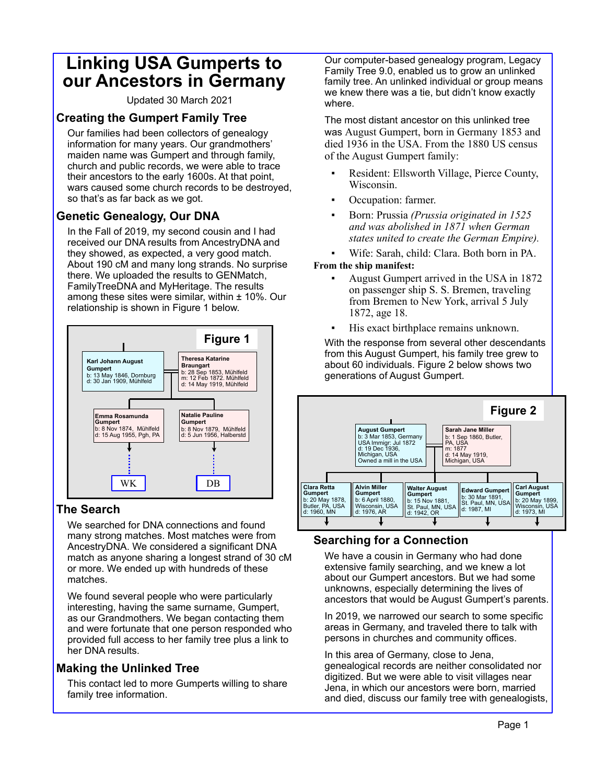# **Linking USA Gumperts to our Ancestors in Germany**

Updated 30 March 2021

### **Creating the Gumpert Family Tree**

Our families had been collectors of genealogy information for many years. Our grandmothers' maiden name was Gumpert and through family, church and public records, we were able to trace their ancestors to the early 1600s. At that point, wars caused some church records to be destroyed, so that's as far back as we got.

## **Genetic Genealogy, Our DNA**

In the Fall of 2019, my second cousin and I had received our DNA results from AncestryDNA and they showed, as expected, a very good match. About 190 cM and many long strands. No surprise there. We uploaded the results to GENMatch, FamilyTreeDNA and MyHeritage. The results among these sites were similar, within  $\pm$  10%. Our relationship is shown in Figure 1 below.



#### **The Search**

We searched for DNA connections and found many strong matches. Most matches were from AncestryDNA. We considered a significant DNA match as anyone sharing a longest strand of 30 cM or more. We ended up with hundreds of these matches.

We found several people who were particularly interesting, having the same surname, Gumpert, as our Grandmothers. We began contacting them and were fortunate that one person responded who provided full access to her family tree plus a link to her DNA results.

## **Making the Unlinked Tree**

This contact led to more Gumperts willing to share family tree information.

Our computer-based genealogy program, Legacy Family Tree 9.0, enabled us to grow an unlinked family tree. An unlinked individual or group means we knew there was a tie, but didn't know exactly where.

The most distant ancestor on this unlinked tree was August Gumpert, born in Germany 1853 and died 1936 in the USA. From the 1880 US census of the August Gumpert family:

- Resident: Ellsworth Village, Pierce County, Wisconsin.
- Occupation: farmer.
- Born: Prussia *(Prussia originated in 1525 and was abolished in 1871 when German states united to create the German Empire).*
- Wife: Sarah, child: Clara. Both born in PA.

#### **From the ship manifest:**

- August Gumpert arrived in the USA in 1872 on passenger ship S. S. Bremen, traveling from Bremen to New York, arrival 5 July 1872, age 18.
- His exact birthplace remains unknown.

With the response from several other descendants from this August Gumpert, his family tree grew to about 60 individuals. Figure 2 below shows two generations of August Gumpert.



## **Searching for a Connection**

We have a cousin in Germany who had done extensive family searching, and we knew a lot about our Gumpert ancestors. But we had some unknowns, especially determining the lives of ancestors that would be August Gumpert's parents.

In 2019, we narrowed our search to some specific areas in Germany, and traveled there to talk with persons in churches and community offices.

In this area of Germany, close to Jena, genealogical records are neither consolidated nor digitized. But we were able to visit villages near Jena, in which our ancestors were born, married and died, discuss our family tree with genealogists,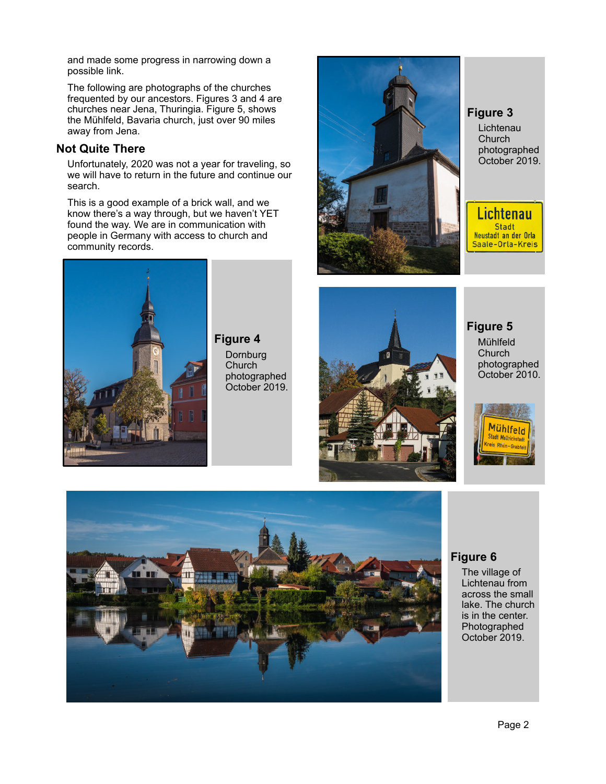and made some progress in narrowing down a possible link.

The following are photographs of the churches frequented by our ancestors. Figures 3 and 4 are churches near Jena, Thuringia. Figure 5, shows the Mühlfeld, Bavaria church, just over 90 miles away from Jena.

#### **Not Quite There**

Unfortunately, 2020 was not a year for traveling, so we will have to return in the future and continue our search.

This is a good example of a brick wall, and we know there's a way through, but we haven't YET found the way. We are in communication with people in Germany with access to church and community records.



**Figure 3** Lichtenau Church photographed October 2019.

Lichtenau Stadt Neustadt an der Orla Saale-Orla-Kreis



**Figure 4 Dornburg Church** photographed October 2019.



**Figure 5**

Mühlfeld **Church** photographed October 2010.





### **Figure 6**

The village of Lichtenau from across the small lake. The church is in the center. Photographed October 2019.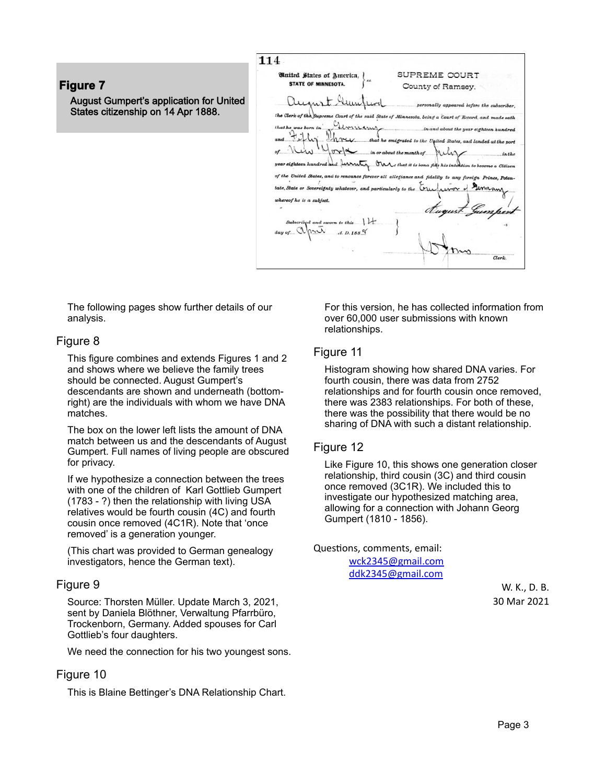**Figure 7** August Gumpert's application for United States citizenship on 14 Apr 1888.

114 SUPREME COURT **United States of America.** STATE OF MINNESOTA. County of Ramsey. august Aun ally app te of Minnesota, being a Court of Record, and m German hver  $v \sim 1$ a furnition  $n_{\rm s}$ all alles fidelity State or Sovereignty whatever, and part. to the Cru of he is a subject.  $A. D. 188$  %

The following pages show further details of our analysis.

#### Figure 8

This figure combines and extends Figures 1 and 2 and shows where we believe the family trees should be connected. August Gumpert's descendants are shown and underneath (bottomright) are the individuals with whom we have DNA matches.

The box on the lower left lists the amount of DNA match between us and the descendants of August Gumpert. Full names of living people are obscured for privacy.

If we hypothesize a connection between the trees with one of the children of Karl Gottlieb Gumpert (1783 - ?) then the relationship with living USA relatives would be fourth cousin (4C) and fourth cousin once removed (4C1R). Note that 'once removed' is a generation younger.

(This chart was provided to German genealogy investigators, hence the German text).

#### Figure 9

Source: Thorsten Müller. Update March 3, 2021, sent by Daniela Blöthner, Verwaltung Pfarrbüro, Trockenborn, Germany. Added spouses for Carl Gottlieb's four daughters.

We need the connection for his two youngest sons.

#### Figure 10

This is Blaine Bettinger's DNA Relationship Chart.

For this version, he has collected information from over 60,000 user submissions with known relationships.

#### Figure 11

Histogram showing how shared DNA varies. For fourth cousin, there was data from 2752 relationships and for fourth cousin once removed, there was 2383 relationships. For both of these, there was the possibility that there would be no sharing of DNA with such a distant relationship.

#### Figure 12

Like Figure 10, this shows one generation closer relationship, third cousin (3C) and third cousin once removed (3C1R). We included this to investigate our hypothesized matching area, allowing for a connection with Johann Georg Gumpert (1810 - 1856).

Questions, comments, email:

[wck2345@gmail.com](mailto:wck2345@gmail.com) [ddk2345@gmail.com](mailto:ddk2345@gmail.com)

> W. K., D. B. 30 Mar 2021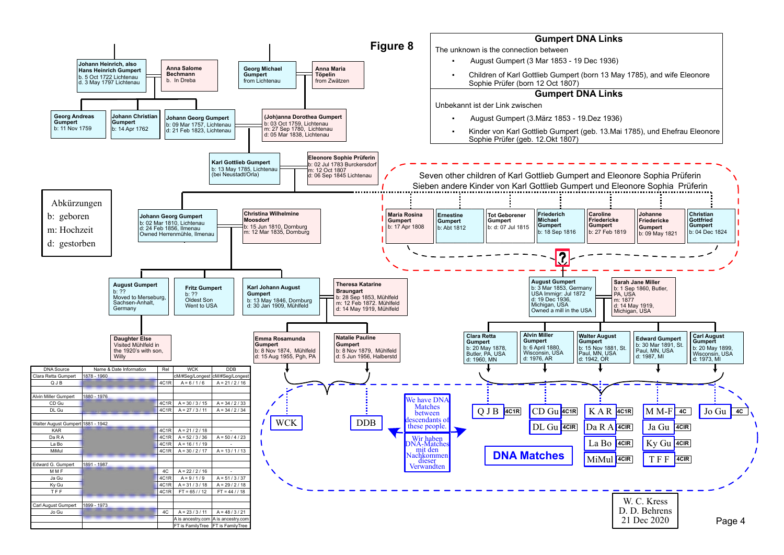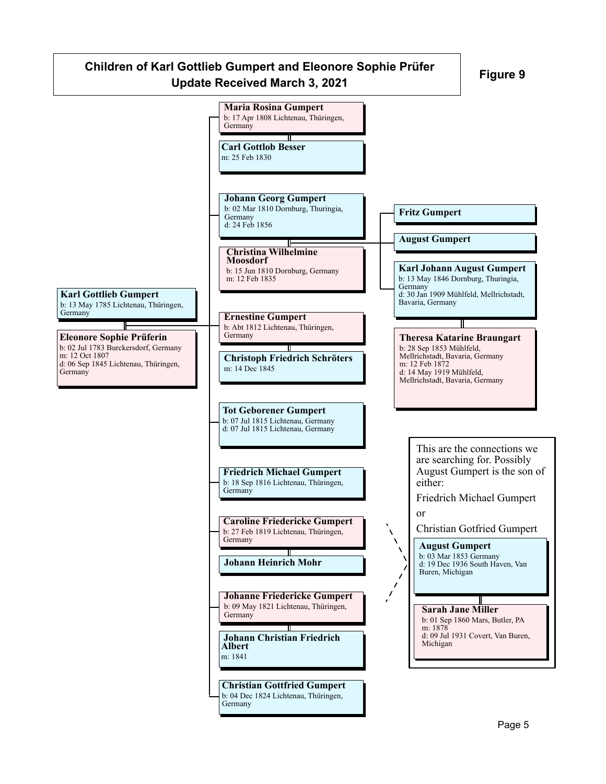# **Figure 9 Children of Karl Gottlieb Gumpert and Eleonore Sophie Prüfer Update Received March 3, 2021**

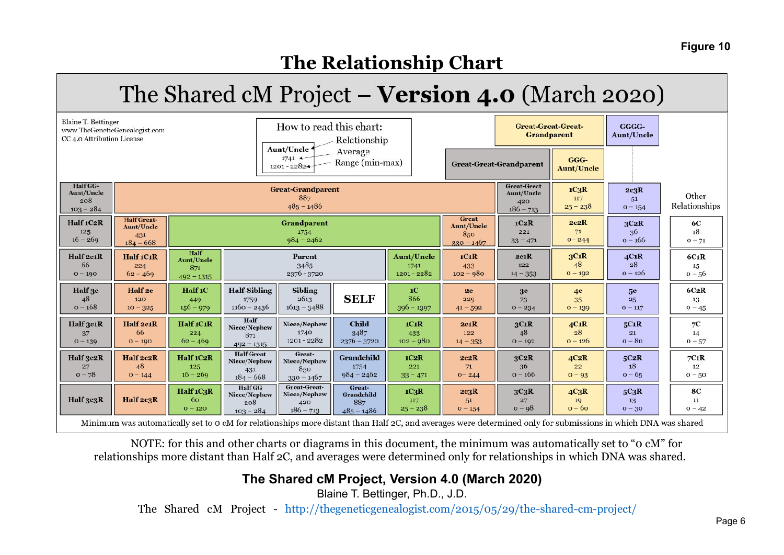## **Figure 10**

# **The Relationship Chart**

# The Shared cM Project – Version 4.0 (March 2020)

| Blaine T. Bettinger<br>CC 4.0 Attribution License   | www.TheGeneticGenealogist.com                                           |                                                  |                                                         | How to read this chart:                            | Relationship                                |                                          | <b>Great-Great-Great-</b><br><b>Grandparent</b>   |                                                        | GGGG-<br><b>Aunt/Uncle</b>        |                                                                                                                                                                                        |                               |
|-----------------------------------------------------|-------------------------------------------------------------------------|--------------------------------------------------|---------------------------------------------------------|----------------------------------------------------|---------------------------------------------|------------------------------------------|---------------------------------------------------|--------------------------------------------------------|-----------------------------------|----------------------------------------------------------------------------------------------------------------------------------------------------------------------------------------|-------------------------------|
|                                                     | Aunt/Uncle<br>Average<br>$1741 +$<br>Range (min-max)<br>$1201 - 2282 +$ |                                                  |                                                         |                                                    |                                             |                                          |                                                   | <b>Great-Great-Grandparent</b>                         |                                   |                                                                                                                                                                                        |                               |
| Half GG-<br><b>Aunt/Uncle</b><br>208<br>$103 - 284$ |                                                                         |                                                  |                                                         | <b>Great-Grandparent</b><br>887<br>$485 - 1486$    |                                             |                                          |                                                   | <b>Great-Great</b><br>Aunt/Uncle<br>420<br>$186 - 713$ | $1C_3R$<br>117<br>$25 - 238$      | 2c3R<br>51<br>$0 - 154$                                                                                                                                                                | Other<br>Relationships        |
| Half 1C2R<br>125<br>$16 - 269$                      | <b>Half Great-</b><br><b>Aunt/Uncle</b><br>431<br>$184 - 668$           |                                                  |                                                         | <b>Grandparent</b><br>1754<br>$984 - 2462$         |                                             |                                          | Great<br><b>Aunt/Uncle</b><br>850<br>$330 - 1467$ | 1C2R<br>221<br>$33 - 471$                              | 2c2R<br>71<br>$0 - 244$           | 3C2R<br>36<br>$0 - 166$                                                                                                                                                                | 6C<br>18<br>$0 - 71$          |
| Half 2c1R<br>66<br>$0 - 190$                        | Half 1C1R<br>224<br>$62 - 469$                                          | Half<br><b>Aunt/Uncle</b><br>871<br>$492 - 1315$ |                                                         | Parent<br>3485<br>2376 - 3720                      |                                             | <b>Aunt/Uncle</b><br>1741<br>1201 - 2282 | 1C1R<br>433<br>$102 - 980$                        | 2c1R<br>122<br>$14 - 353$                              | 3C1R<br>48<br>$0 - 192$           | 4C1R<br>28<br>$0 - 126$                                                                                                                                                                | $6C_1R$<br>15<br>$0 - 56$     |
| Half 3c<br>48<br>$0 - 168$                          | Half <sub>2c</sub><br>120<br>$10 - 325$                                 | Half 1C<br>449<br>$156 - 979$                    | <b>Half-Sibling</b><br>1759<br>$1160 - 2436$            | <b>Sibling</b><br>2613<br>$1613 - 3488$            | <b>SELF</b>                                 | 1 <sub>C</sub><br>866<br>$396 - 1397$    | 2c<br>229<br>$41 - 592$                           | 3 <sub>c</sub><br>73<br>$0 - 234$                      | 4 <sup>c</sup><br>35<br>$0 - 139$ | 5 <sub>c</sub><br>25<br>$0 - 117$                                                                                                                                                      | 6C2R<br>13<br>$0 - 45$        |
| Half 3c1R<br>37<br>$0 - 139$                        | Half 2c1R<br>66<br>$0 - 190$                                            | Half 1C1R<br>224<br>$62 - 469$                   | Half<br>Niece/Nephew<br>871<br>$492 - 1315$             | Niece/Nephew<br>1740<br>1201 - 2282                | <b>Child</b><br>3487<br>$2376 - 3720$       | 1C1R<br>433<br>$102 - 980$               | 2c1R<br>122<br>$14 - 353$                         | 3C1R<br>48<br>$0 - 192$                                | 4C1R<br>28<br>$0 - 126$           | 5C1R<br>21<br>$o - 8o$                                                                                                                                                                 | $7\mbox{C}$<br>14<br>$0 - 57$ |
| Half 3c2R<br>27<br>$0 - 78$                         | Half 2c2R<br>48<br>$0 - 144$                                            | Half 1C2R<br>125<br>$16 - 269$                   | <b>Half</b> Great<br>Niece/Nephew<br>431<br>$184 - 668$ | Great-<br>Niece/Nephew<br>850<br>$330 - 1467$      | Grandchild<br>1754<br>$984 - 2462$          | 1C2R<br>221<br>$33 - 471$                | 2c2R<br>71<br>$0 - 244$                           | 3C2R<br>36<br>$0 - 166$                                | 4C2R<br>22<br>$0 - 93$            | 5C2R<br>18<br>$0 - 65$                                                                                                                                                                 | 7C1R<br>12<br>$0 - 50$        |
| Half 3c3R                                           | Half 2c3R                                                               | Half 1C3R<br>60<br>$0 - 120$                     | <b>Half GG</b><br>Niece/Nephew<br>208<br>$103 - 284$    | Great-Great-<br>Niece/Nephew<br>420<br>$186 - 713$ | Great-<br>Grandchild<br>887<br>$485 - 1486$ | $1C_3R$<br>117<br>$25 - 238$             | 2c3R<br>51<br>$0 - 154$                           | 3C3R<br>27<br>$0 - 98$                                 | 4C3R<br>19<br>$o - 6o$            | 5C3R<br>13<br>$0 - 30$<br>Minimum was automatically set to 0 cM for relationships more distant than Half 2C, and averages were determined only for submissions in which DNA was shared | <b>8C</b><br>11<br>$0 - 42$   |

NOTE: for this and other charts or diagrams in this document, the minimum was automatically set to "0 cM" for relationships more distant than Half 2C, and averages were determined only for relationships in which DNA was shared.

# **The Shared cM Project, Version 4.0 (March 2020)**

Blaine T. Bettinger, Ph.D., J.D.

The Shared cM Project - http://thegeneticgenealogist.com/2015/05/29/the-shared-cm-project/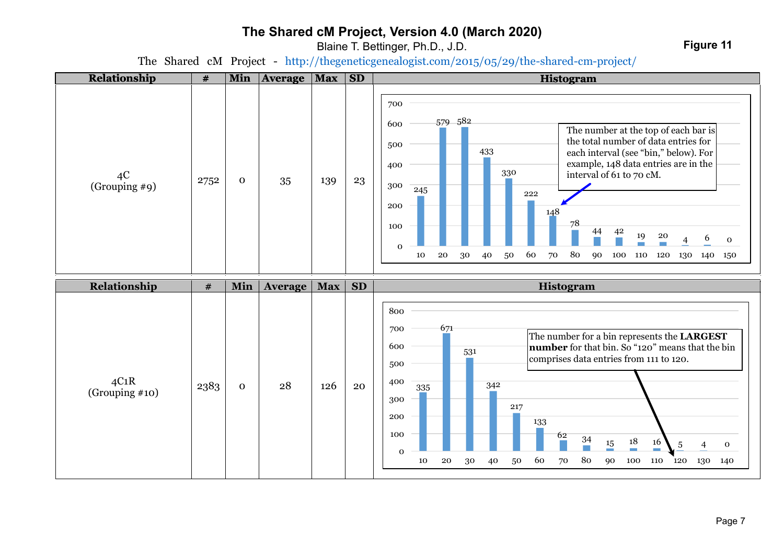# **The Shared cM Project, Version 4.0 (March 2020)**

Blaine T. Bettinger, Ph.D., J.D.

**Figure 11**

The Shared cM Project - http://thegeneticgenealogist.com/2015/05/29/the-shared-cm-project/

| Relationship           | $\#$ | Min          | <b>Average</b> | <b>Max</b> | SD        | <b>Histogram</b>                                                                                                                                                                                                                                                                                                                                                                                                                                                            |
|------------------------|------|--------------|----------------|------------|-----------|-----------------------------------------------------------------------------------------------------------------------------------------------------------------------------------------------------------------------------------------------------------------------------------------------------------------------------------------------------------------------------------------------------------------------------------------------------------------------------|
| 4C<br>(Grouping #9)    | 2752 | $\mathbf{0}$ | 35             | 139        | 23        | 700<br>579 582<br>600<br>The number at the top of each bar is<br>the total number of data entries for<br>500<br>433<br>each interval (see "bin," below). For<br>example, 148 data entries are in the<br>400<br>330<br>interval of 61 to 70 cM.<br>300<br>245<br>222<br>200<br>148<br>78<br>100<br>42<br>44<br>19<br>${\bf 20}$<br>6<br>$\mathbf 0$<br>4<br>$\mathbf 0$<br>80<br>${\bf 20}$<br>60<br>70<br>10<br>30<br>40<br>50<br>90<br>100<br>110<br>120<br>130 140<br>150 |
| Relationship           | $\#$ | Min          | <b>Average</b> | <b>Max</b> | <b>SD</b> | Histogram                                                                                                                                                                                                                                                                                                                                                                                                                                                                   |
| 4C1R<br>(Grouping #10) | 2383 | $\mathbf{O}$ | 28             | 126        | 20        | 800<br>671<br>700<br>The number for a bin represents the LARGEST<br>600<br>number for that bin. So "120" means that the bin<br>531<br>comprises data entries from 111 to 120.<br>500<br>400<br>342<br>335<br>300<br>217<br>200<br>133<br>100<br>62<br>34<br>$\frac{18}{1}$<br>$\frac{15}{1}$<br>16<br>$\sqrt{5}$<br>$\overline{4}$<br>${\bf O}$<br>$\mathbf 0$<br>80<br>${\bf 20}$<br>60<br>100<br>10<br>30<br>40<br>50<br>70<br>90<br>110<br>120<br>130<br>140             |